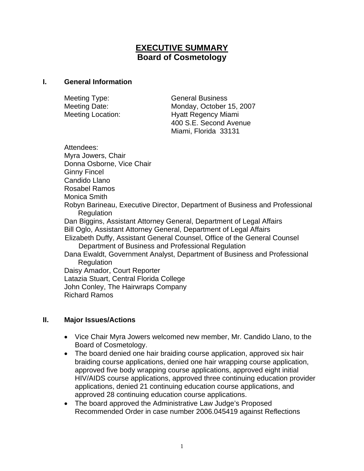# **EXECUTIVE SUMMARY Board of Cosmetology**

#### **I. General Information**

Meeting Type: General Business Meeting Date: Monday, October 15, 2007 Meeting Location: **Hyatt Regency Miami**  400 S.E. Second Avenue Miami, Florida 33131

Attendees: Myra Jowers, Chair Donna Osborne, Vice Chair Ginny Fincel Candido Llano Rosabel Ramos Monica Smith Robyn Barineau, Executive Director, Department of Business and Professional Regulation Dan Biggins, Assistant Attorney General, Department of Legal Affairs Bill Oglo, Assistant Attorney General, Department of Legal Affairs Elizabeth Duffy, Assistant General Counsel, Office of the General Counsel Department of Business and Professional Regulation Dana Ewaldt, Government Analyst, Department of Business and Professional **Regulation** Daisy Amador, Court Reporter Latazia Stuart, Central Florida College John Conley, The Hairwraps Company Richard Ramos

### **II. Major Issues/Actions**

- Vice Chair Myra Jowers welcomed new member, Mr. Candido Llano, to the Board of Cosmetology.
- The board denied one hair braiding course application, approved six hair braiding course applications, denied one hair wrapping course application, approved five body wrapping course applications, approved eight initial HIV/AIDS course applications, approved three continuing education provider applications, denied 21 continuing education course applications, and approved 28 continuing education course applications.
- The board approved the Administrative Law Judge's Proposed Recommended Order in case number 2006.045419 against Reflections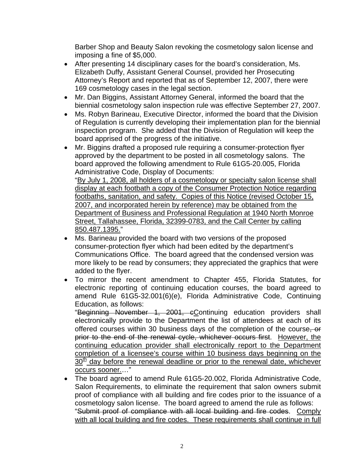Barber Shop and Beauty Salon revoking the cosmetology salon license and imposing a fine of \$5,000.

- After presenting 14 disciplinary cases for the board's consideration, Ms. Elizabeth Duffy, Assistant General Counsel, provided her Prosecuting Attorney's Report and reported that as of September 12, 2007, there were 169 cosmetology cases in the legal section.
- Mr. Dan Biggins, Assistant Attorney General, informed the board that the biennial cosmetology salon inspection rule was effective September 27, 2007.
- Ms. Robyn Barineau, Executive Director, informed the board that the Division of Regulation is currently developing their implementation plan for the biennial inspection program. She added that the Division of Regulation will keep the board apprised of the progress of the initiative.
- Mr. Biggins drafted a proposed rule requiring a consumer-protection flyer approved by the department to be posted in all cosmetology salons. The board approved the following amendment to Rule 61G5-20.005, Florida Administrative Code, Display of Documents: "By July 1, 2008, all holders of a cosmetology or specialty salon license shall display at each footbath a copy of the Consumer Protection Notice regarding

footbaths, sanitation, and safety. Copies of this Notice (revised October 15, 2007, and incorporated herein by reference) may be obtained from the Department of Business and Professional Regulation at 1940 North Monroe Street, Tallahassee, Florida, 32399-0783, and the Call Center by calling 850.487.1395."

- Ms. Barineau provided the board with two versions of the proposed consumer-protection flyer which had been edited by the department's Communications Office. The board agreed that the condensed version was more likely to be read by consumers; they appreciated the graphics that were added to the flyer.
- To mirror the recent amendment to Chapter 455, Florida Statutes, for electronic reporting of continuing education courses, the board agreed to amend Rule 61G5-32.001(6)(e), Florida Administrative Code, Continuing Education, as follows:

"Beginning November 1, 2001, cContinuing education providers shall electronically provide to the Department the list of attendees at each of its offered courses within 30 business days of the completion of the course, or prior to the end of the renewal cycle, whichever occurs first. However, the continuing education provider shall electronically report to the Department completion of a licensee's course within 10 business days beginning on the  $30<sup>th</sup>$  day before the renewal deadline or prior to the renewal date, whichever occurs sooner.…"

• The board agreed to amend Rule 61G5-20.002, Florida Administrative Code, Salon Requirements, to eliminate the requirement that salon owners submit proof of compliance with all building and fire codes prior to the issuance of a cosmetology salon license. The board agreed to amend the rule as follows: "Submit proof of compliance with all local building and fire codes. Comply with all local building and fire codes. These requirements shall continue in full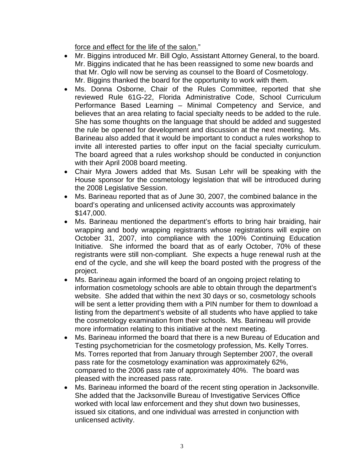force and effect for the life of the salon."

- Mr. Biggins introduced Mr. Bill Oglo, Assistant Attorney General, to the board. Mr. Biggins indicated that he has been reassigned to some new boards and that Mr. Oglo will now be serving as counsel to the Board of Cosmetology. Mr. Biggins thanked the board for the opportunity to work with them.
- Ms. Donna Osborne, Chair of the Rules Committee, reported that she reviewed Rule 61G-22, Florida Administrative Code, School Curriculum Performance Based Learning – Minimal Competency and Service, and believes that an area relating to facial specialty needs to be added to the rule. She has some thoughts on the language that should be added and suggested the rule be opened for development and discussion at the next meeting. Ms. Barineau also added that it would be important to conduct a rules workshop to invite all interested parties to offer input on the facial specialty curriculum. The board agreed that a rules workshop should be conducted in conjunction with their April 2008 board meeting.
- Chair Myra Jowers added that Ms. Susan Lehr will be speaking with the House sponsor for the cosmetology legislation that will be introduced during the 2008 Legislative Session.
- Ms. Barineau reported that as of June 30, 2007, the combined balance in the board's operating and unlicensed activity accounts was approximately \$147,000.
- Ms. Barineau mentioned the department's efforts to bring hair braiding, hair wrapping and body wrapping registrants whose registrations will expire on October 31, 2007, into compliance with the 100% Continuing Education Initiative. She informed the board that as of early October, 70% of these registrants were still non-compliant. She expects a huge renewal rush at the end of the cycle, and she will keep the board posted with the progress of the project.
- Ms. Barineau again informed the board of an ongoing project relating to information cosmetology schools are able to obtain through the department's website. She added that within the next 30 days or so, cosmetology schools will be sent a letter providing them with a PIN number for them to download a listing from the department's website of all students who have applied to take the cosmetology examination from their schools. Ms. Barineau will provide more information relating to this initiative at the next meeting.
- Ms. Barineau informed the board that there is a new Bureau of Education and Testing psychometrician for the cosmetology profession, Ms. Kelly Torres. Ms. Torres reported that from January through September 2007, the overall pass rate for the cosmetology examination was approximately 62%, compared to the 2006 pass rate of approximately 40%. The board was pleased with the increased pass rate.
- Ms. Barineau informed the board of the recent sting operation in Jacksonville. She added that the Jacksonville Bureau of Investigative Services Office worked with local law enforcement and they shut down two businesses, issued six citations, and one individual was arrested in conjunction with unlicensed activity.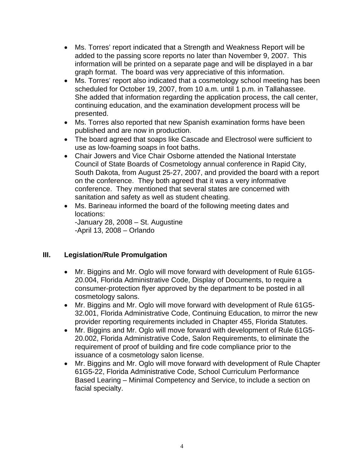- Ms. Torres' report indicated that a Strength and Weakness Report will be added to the passing score reports no later than November 9, 2007. This information will be printed on a separate page and will be displayed in a bar graph format. The board was very appreciative of this information.
- Ms. Torres' report also indicated that a cosmetology school meeting has been scheduled for October 19, 2007, from 10 a.m. until 1 p.m. in Tallahassee. She added that information regarding the application process, the call center, continuing education, and the examination development process will be presented.
- Ms. Torres also reported that new Spanish examination forms have been published and are now in production.
- The board agreed that soaps like Cascade and Electrosol were sufficient to use as low-foaming soaps in foot baths.
- Chair Jowers and Vice Chair Osborne attended the National Interstate Council of State Boards of Cosmetology annual conference in Rapid City, South Dakota, from August 25-27, 2007, and provided the board with a report on the conference. They both agreed that it was a very informative conference. They mentioned that several states are concerned with sanitation and safety as well as student cheating.
- Ms. Barineau informed the board of the following meeting dates and locations:

-January 28, 2008 – St. Augustine -April 13, 2008 – Orlando

## **III. Legislation/Rule Promulgation**

- Mr. Biggins and Mr. Oglo will move forward with development of Rule 61G5- 20.004, Florida Administrative Code, Display of Documents, to require a consumer-protection flyer approved by the department to be posted in all cosmetology salons.
- Mr. Biggins and Mr. Oglo will move forward with development of Rule 61G5- 32.001, Florida Administrative Code, Continuing Education, to mirror the new provider reporting requirements included in Chapter 455, Florida Statutes.
- Mr. Biggins and Mr. Oglo will move forward with development of Rule 61G5- 20.002, Florida Administrative Code, Salon Requirements, to eliminate the requirement of proof of building and fire code compliance prior to the issuance of a cosmetology salon license.
- Mr. Biggins and Mr. Oglo will move forward with development of Rule Chapter 61G5-22, Florida Administrative Code, School Curriculum Performance Based Learing – Minimal Competency and Service, to include a section on facial specialty.